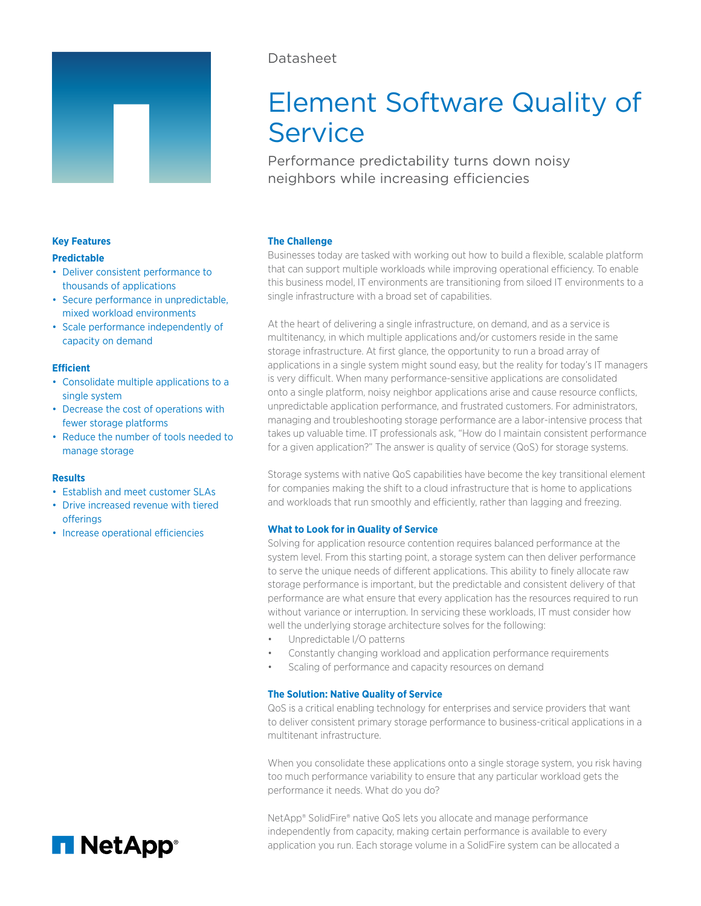

# Datasheet

# Element Software Quality of Service

Performance predictability turns down noisy neighbors while increasing efficiencies

# **The Challenge**

Businesses today are tasked with working out how to build a flexible, scalable platform that can support multiple workloads while improving operational efficiency. To enable this business model, IT environments are transitioning from siloed IT environments to a single infrastructure with a broad set of capabilities.

At the heart of delivering a single infrastructure, on demand, and as a service is multitenancy, in which multiple applications and/or customers reside in the same storage infrastructure. At first glance, the opportunity to run a broad array of applications in a single system might sound easy, but the reality for today's IT managers is very difficult. When many performance-sensitive applications are consolidated onto a single platform, noisy neighbor applications arise and cause resource conflicts, unpredictable application performance, and frustrated customers. For administrators, managing and troubleshooting storage performance are a labor-intensive process that takes up valuable time. IT professionals ask, "How do I maintain consistent performance for a given application?" The answer is quality of service (QoS) for storage systems.

# **Efficient**

**Key Features Predictable**

• Consolidate multiple applications to a single system

• Deliver consistent performance to thousands of applications

capacity on demand

• Secure performance in unpredictable, mixed workload environments • Scale performance independently of

- Decrease the cost of operations with fewer storage platforms
- Reduce the number of tools needed to manage storage

#### **Results**

- Establish and meet customer SLAs
- Drive increased revenue with tiered **offerings**
- Increase operational efficiencies

Storage systems with native QoS capabilities have become the key transitional element for companies making the shift to a cloud infrastructure that is home to applications and workloads that run smoothly and efficiently, rather than lagging and freezing.

# **What to Look for in Quality of Service**

Solving for application resource contention requires balanced performance at the system level. From this starting point, a storage system can then deliver performance to serve the unique needs of different applications. This ability to finely allocate raw storage performance is important, but the predictable and consistent delivery of that performance are what ensure that every application has the resources required to run without variance or interruption. In servicing these workloads, IT must consider how well the underlying storage architecture solves for the following:

- Unpredictable I/O patterns
- Constantly changing workload and application performance requirements
- Scaling of performance and capacity resources on demand

## **The Solution: Native Quality of Service**

QoS is a critical enabling technology for enterprises and service providers that want to deliver consistent primary storage performance to business-critical applications in a multitenant infrastructure.

When you consolidate these applications onto a single storage system, you risk having too much performance variability to ensure that any particular workload gets the performance it needs. What do you do?

NetApp® SolidFire® native QoS lets you allocate and manage performance independently from capacity, making certain performance is available to every application you run. Each storage volume in a SolidFire system can be allocated a

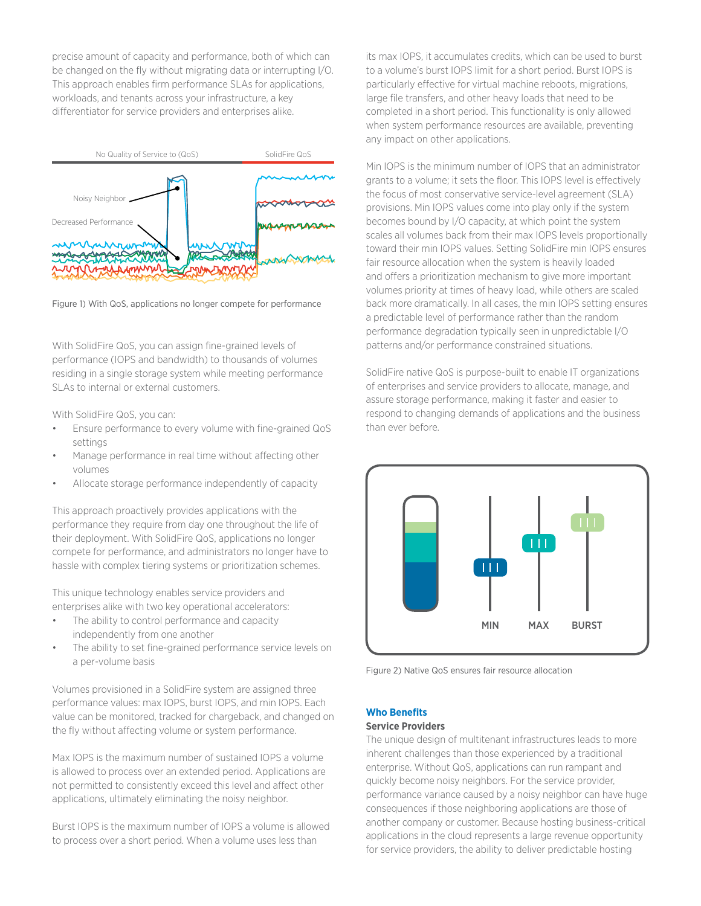precise amount of capacity and performance, both of which can be changed on the fly without migrating data or interrupting I/O. This approach enables firm performance SLAs for applications, workloads, and tenants across your infrastructure, a key differentiator for service providers and enterprises alike.



Figure 1) With QoS, applications no longer compete for performance

With SolidFire QoS, you can assign fine-grained levels of performance (IOPS and bandwidth) to thousands of volumes residing in a single storage system while meeting performance SLAs to internal or external customers.

With SolidFire QoS, you can:

- Ensure performance to every volume with fine-grained QoS settings
- Manage performance in real time without affecting other volumes
- Allocate storage performance independently of capacity

This approach proactively provides applications with the performance they require from day one throughout the life of their deployment. With SolidFire QoS, applications no longer compete for performance, and administrators no longer have to hassle with complex tiering systems or prioritization schemes.

This unique technology enables service providers and enterprises alike with two key operational accelerators:

- The ability to control performance and capacity independently from one another
- The ability to set fine-grained performance service levels on a per-volume basis

Volumes provisioned in a SolidFire system are assigned three performance values: max IOPS, burst IOPS, and min IOPS. Each value can be monitored, tracked for chargeback, and changed on the fly without affecting volume or system performance.

Max IOPS is the maximum number of sustained IOPS a volume is allowed to process over an extended period. Applications are not permitted to consistently exceed this level and affect other applications, ultimately eliminating the noisy neighbor.

Burst IOPS is the maximum number of IOPS a volume is allowed to process over a short period. When a volume uses less than

its max IOPS, it accumulates credits, which can be used to burst to a volume's burst IOPS limit for a short period. Burst IOPS is particularly effective for virtual machine reboots, migrations, large file transfers, and other heavy loads that need to be completed in a short period. This functionality is only allowed when system performance resources are available, preventing any impact on other applications.

Min IOPS is the minimum number of IOPS that an administrator grants to a volume; it sets the floor. This IOPS level is effectively the focus of most conservative service-level agreement (SLA) provisions. Min IOPS values come into play only if the system becomes bound by I/O capacity, at which point the system scales all volumes back from their max IOPS levels proportionally toward their min IOPS values. Setting SolidFire min IOPS ensures fair resource allocation when the system is heavily loaded and offers a prioritization mechanism to give more important volumes priority at times of heavy load, while others are scaled back more dramatically. In all cases, the min IOPS setting ensures a predictable level of performance rather than the random performance degradation typically seen in unpredictable I/O patterns and/or performance constrained situations.

SolidFire native QoS is purpose-built to enable IT organizations of enterprises and service providers to allocate, manage, and assure storage performance, making it faster and easier to respond to changing demands of applications and the business than ever before.



Figure 2) Native QoS ensures fair resource allocation

**Who Benefits**

#### **Service Providers**

The unique design of multitenant infrastructures leads to more inherent challenges than those experienced by a traditional enterprise. Without QoS, applications can run rampant and quickly become noisy neighbors. For the service provider, performance variance caused by a noisy neighbor can have huge consequences if those neighboring applications are those of another company or customer. Because hosting business-critical applications in the cloud represents a large revenue opportunity for service providers, the ability to deliver predictable hosting